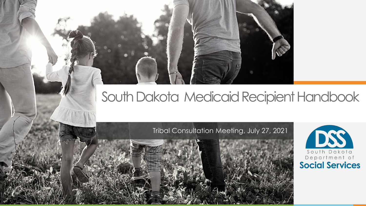## South Dakota Medicaid Recipient Handbook

### Tribal Consultation Meeting, July 27, 2021

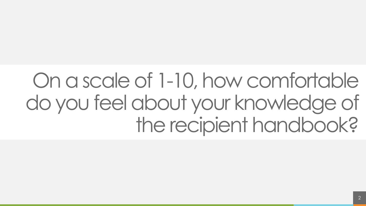# On a scale of 1-10, how comfortable do you feel about your knowledge of the recipient handbook?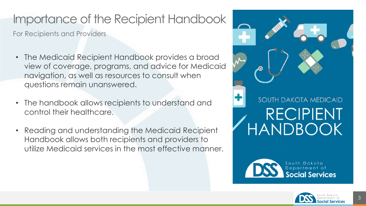## Importance of the Recipient Handbook

For Recipients and Providers

- The Medicaid Recipient Handbook provides a broad view of coverage, programs, and advice for Medicaid navigation, as well as resources to consult when questions remain unanswered.
- The handbook allows recipients to understand and control their healthcare.
- Reading and understanding the Medicaid Recipient Handbook allows both recipients and providers to utilize Medicaid services in the most effective manner.





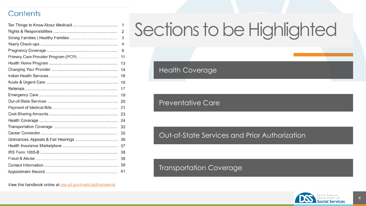#### Contents

| 1  |
|----|
| 2  |
| 3  |
| 4  |
| 9  |
| 11 |
| 13 |
| 14 |
| 16 |
| 16 |
| 17 |
| 19 |
| 20 |
| 21 |
| 23 |
| 24 |
| 32 |
| 35 |
| 36 |
| 37 |
| 38 |
| 38 |
| 39 |
| 41 |

# Sections to be Highlighted

Health Coverage

Preventative Care

#### Out-of-State Services and Prior Authorization

#### Transportation Coverage

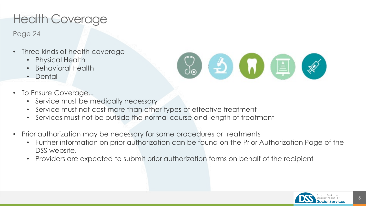## Health Coverage

Page 24

- Three kinds of health coverage
	- Physical Health
	- Behavioral Health
	- Dental
- To Ensure Coverage...
	- Service must be medically necessary
	- Service must not cost more than other types of effective treatment
	- Services must not be outside the normal course and length of treatment
- Prior authorization may be necessary for some procedures or treatments
	- Further information on prior authorization can be found on the Prior Authorization Page of the DSS website.

 $\begin{array}{c} \circ \\ \circ \\ \circ \end{array}$   $\bullet$   $\bullet$   $\bullet$ 

• Providers are expected to submit prior authorization forms on behalf of the recipient



 $\mathscr{R}$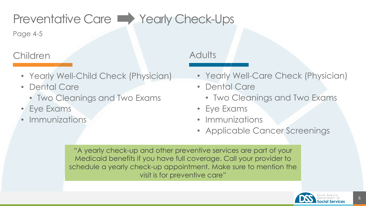## Preventative Care Nearly Check-Ups

Page 4-5

## Children

- Yearly Well-Child Check (Physician)
- Dental Care
	- Two Cleanings and Two Exams
- Eye Exams
- **Immunizations**

## **Adults**

- Yearly Well-Care Check (Physician)
- Dental Care
	- Two Cleanings and Two Exams
- Eye Exams
- Immunizations
- Applicable Cancer Screenings

"A yearly check-up and other preventive services are part of your Medicaid benefits if you have full coverage. Call your provider to schedule a yearly check-up appointment. Make sure to mention the visit is for preventive care"

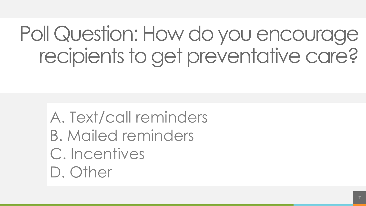# Poll Question: How do you encourage recipients to get preventative care?

A. Text/call reminders B. Mailed reminders C. Incentives D. Other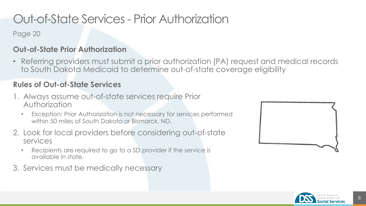## Out-of-State Services - Prior Authorization

Page 20

### **Out-of-State Prior Authorization**

• Referring providers must submit a prior authorization (PA) request and medical records to South Dakota Medicaid to determine out-of-state coverage eligibility

### **Rules of Out-of-State Services**

- 1. Always assume out-of-state services require Prior Authorization
	- Exception: Prior Authorization is not necessary for services performed within 50 miles of South Dakota or Bismarck, ND.
- 2. Look for local providers before considering out-of-state services
	- Recipients are required to go to a SD provider if the service is available in state.
- 3. Services must be medically necessary



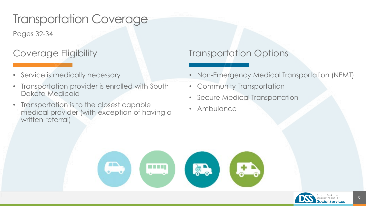## Transportation Coverage

Pages 32-34

## Coverage Eligibility

- Service is medically necessary
- Transportation provider is enrolled with South Dakota Medicaid
- Transportation is to the closest capable medical provider (with exception of having a written referral)

## Transportation Options

- Non-Emergency Medical Transportation (NEMT)
- Community Transportation
- Secure Medical Transportation
- **Ambulance**



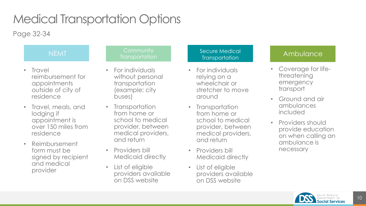## Medical Transportation Options

Page 32-34

- Travel reimbursement for appointments outside of city of residence
- Travel, meals, and lodging if appointment is over 150 miles from residence
- Reimbursement form must be signed by recipient and medical provider

#### NEMT Community Transportation

- For individuals without personal transportation (example: city buses)
- Transportation from home or school to medical provider, between medical providers, and return
- Providers bill Medicaid directly
- List of eligible providers available on DSS website

#### Secure Medical ecure medical and a controller Ambulance<br>Transportation

- For individuals relying on a wheelchair or stretcher to move around
- Transportation from home or school to medical provider, between medical providers, and return
- Providers bill Medicaid directly
- List of eligible providers available on DSS website

- Coverage for lifethreatening emergency transport
- Ground and air ambulances included
- Providers should provide education on when calling an ambulance is necessary

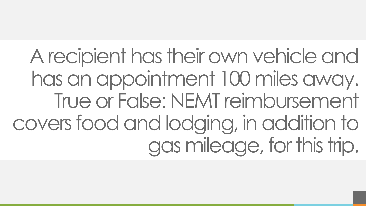A recipient has their own vehicle and has an appointment 100 miles away. True or False: NEMT reimbursement covers food and lodging, in addition to gas mileage, for this trip.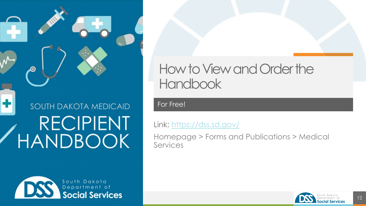**SOUTH DAKOTA MEDICAID RECIPIENT** HANDBOOK

South Dakota Department of **Social Services** 

 $\mathbf \Omega$ 

## How to View and Order the **Handbook**

For Free!

Link: <https://dss.sd.gov/>

Homepage > Forms and Publications > Medical **Services**